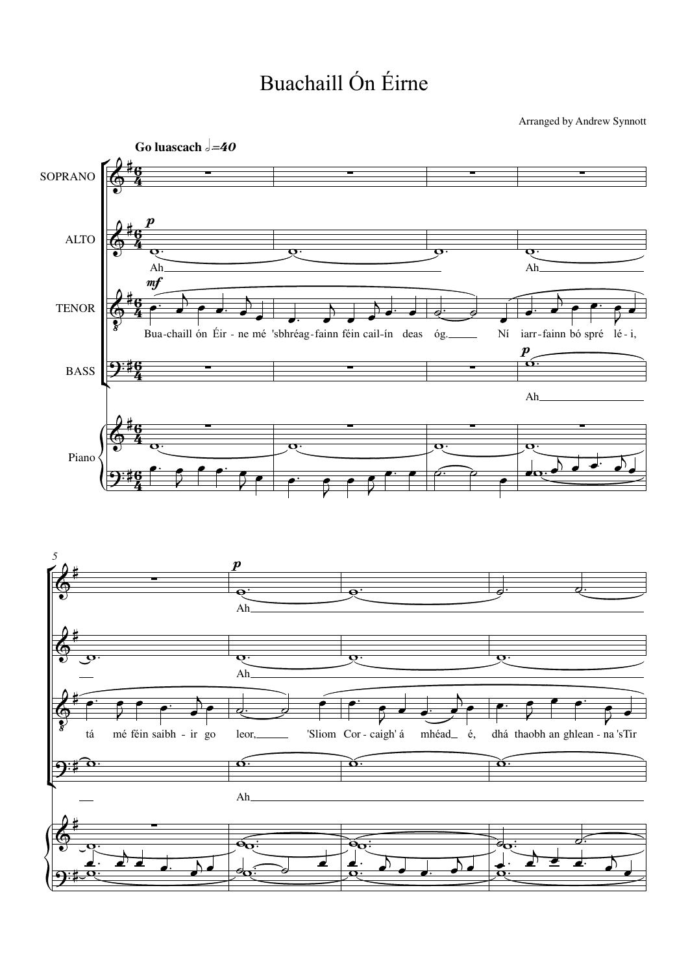## Buachaill Ón Éirne

Arranged by Andrew Synnott

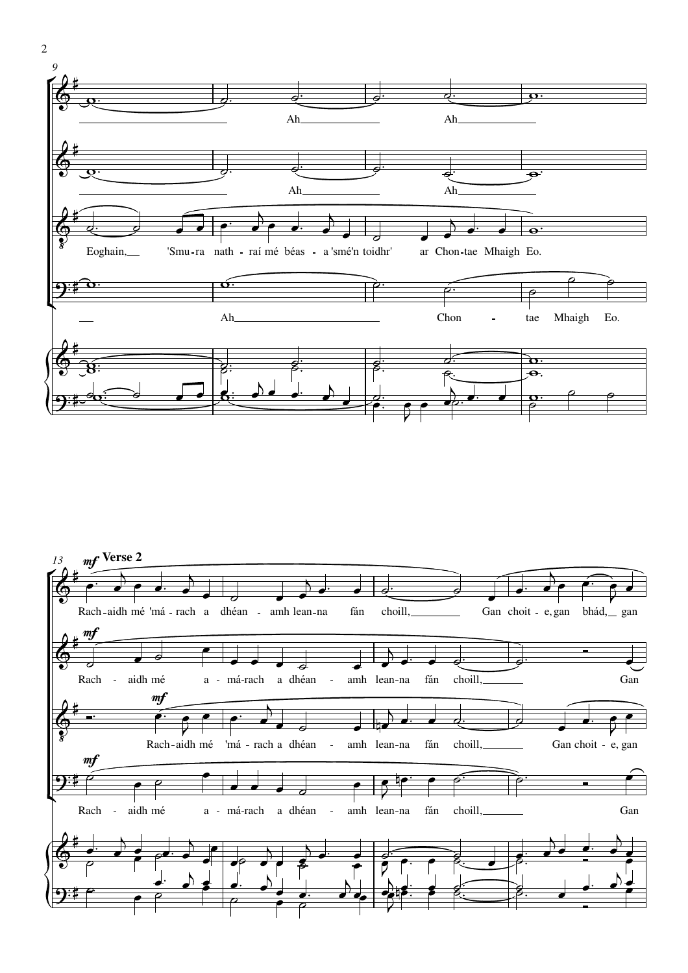



2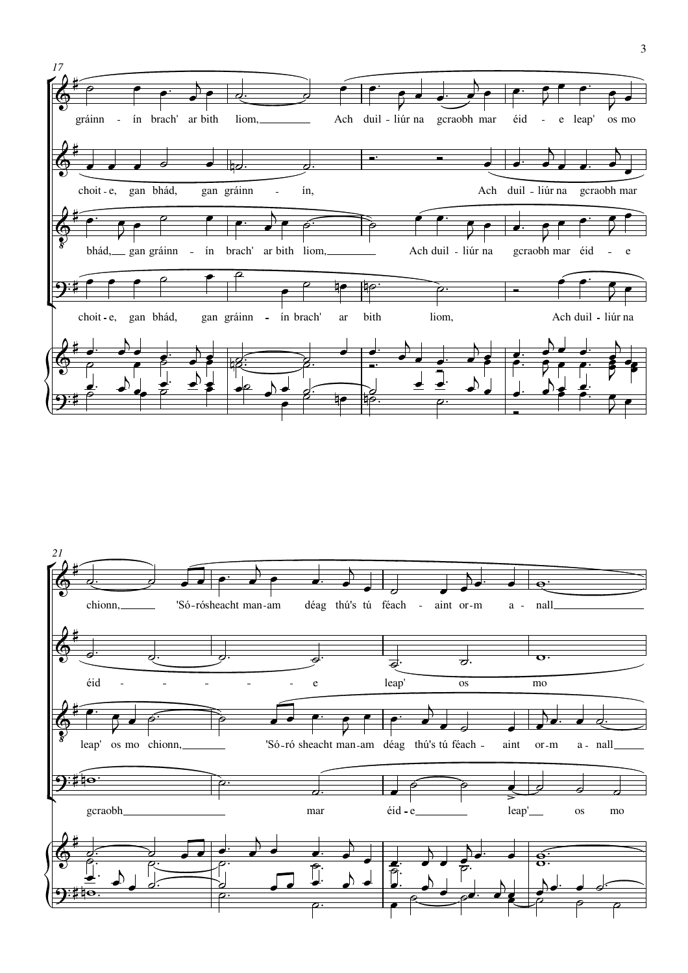

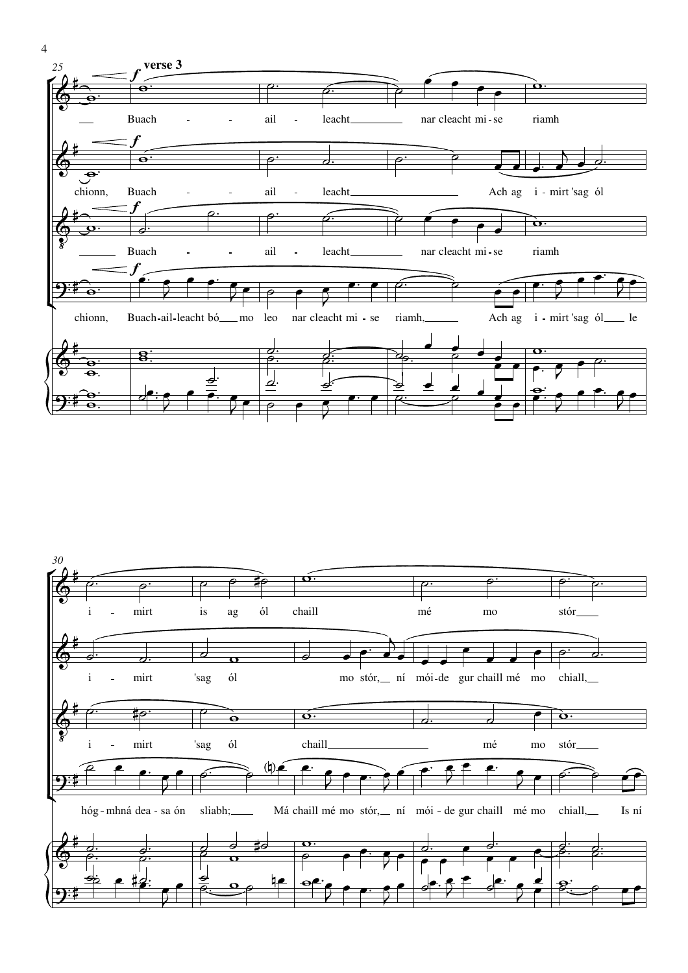



4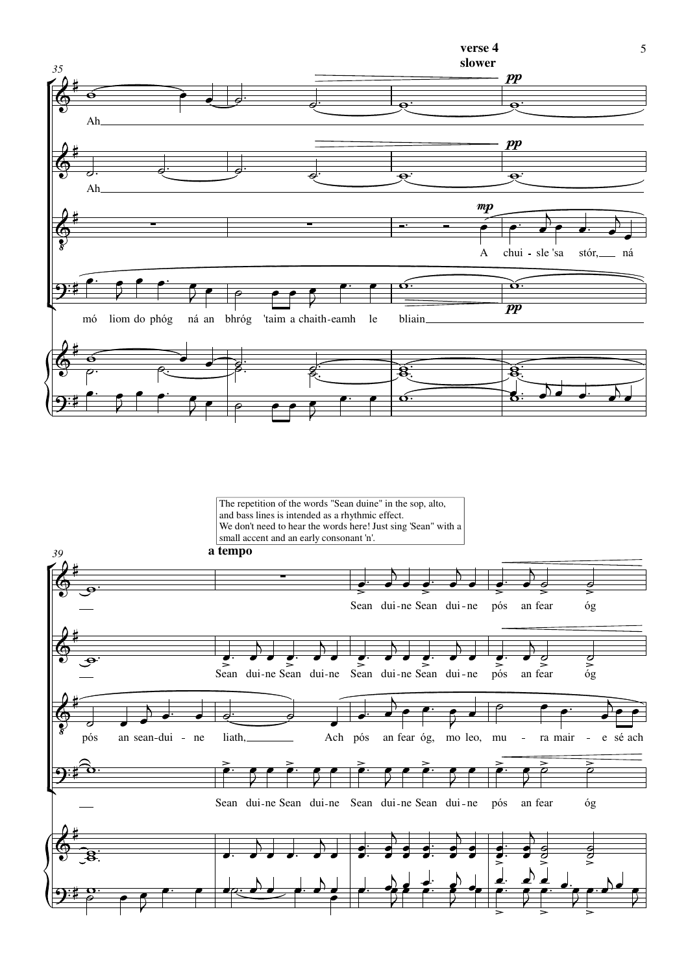

The repetition of the words "Sean duine" in the sop, alto, and bass lines is intended as a rhythmic effect. We don't need to hear the words here! Just sing 'Sean" with a small accent and an early consonant 'n'.